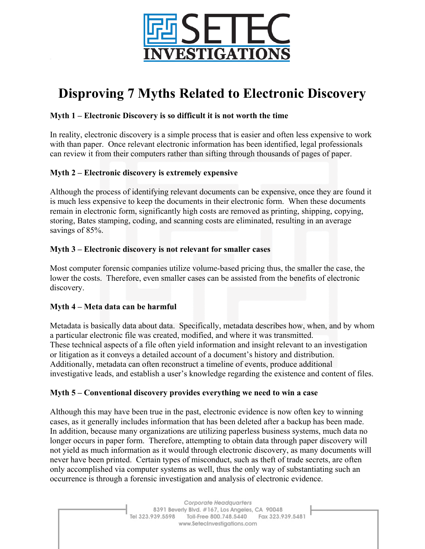

# **Disproving 7 Myths Related to Electronic Discovery**

## **Myth 1 – Electronic Discovery is so difficult it is not worth the time**

In reality, electronic discovery is a simple process that is easier and often less expensive to work with than paper. Once relevant electronic information has been identified, legal professionals can review it from their computers rather than sifting through thousands of pages of paper.

# **Myth 2 – Electronic discovery is extremely expensive**

Although the process of identifying relevant documents can be expensive, once they are found it is much less expensive to keep the documents in their electronic form. When these documents remain in electronic form, significantly high costs are removed as printing, shipping, copying, storing, Bates stamping, coding, and scanning costs are eliminated, resulting in an average savings of 85%.

# **Myth 3 – Electronic discovery is not relevant for smaller cases**

Most computer forensic companies utilize volume-based pricing thus, the smaller the case, the lower the costs. Therefore, even smaller cases can be assisted from the benefits of electronic discovery.

### **Myth 4 – Meta data can be harmful**

Metadata is basically data about data. Specifically, metadata describes how, when, and by whom a particular electronic file was created, modified, and where it was transmitted. These technical aspects of a file often yield information and insight relevant to an investigation or litigation as it conveys a detailed account of a document's history and distribution. Additionally, metadata can often reconstruct a timeline of events, produce additional investigative leads, and establish a user's knowledge regarding the existence and content of files.

### **Myth 5 – Conventional discovery provides everything we need to win a case**

Although this may have been true in the past, electronic evidence is now often key to winning cases, as it generally includes information that has been deleted after a backup has been made. In addition, because many organizations are utilizing paperless business systems, much data no longer occurs in paper form. Therefore, attempting to obtain data through paper discovery will not yield as much information as it would through electronic discovery, as many documents will never have been printed. Certain types of misconduct, such as theft of trade secrets, are often only accomplished via computer systems as well, thus the only way of substantiating such an occurrence is through a forensic investigation and analysis of electronic evidence.

> Corporate Headquarters 8391 Beverly Blvd. #167, Los Angeles, CA 90048 Tel 323.939.5598 Toll-Free 800.748.5440 Fax 323.939.5481 www.SetecInvestigations.com